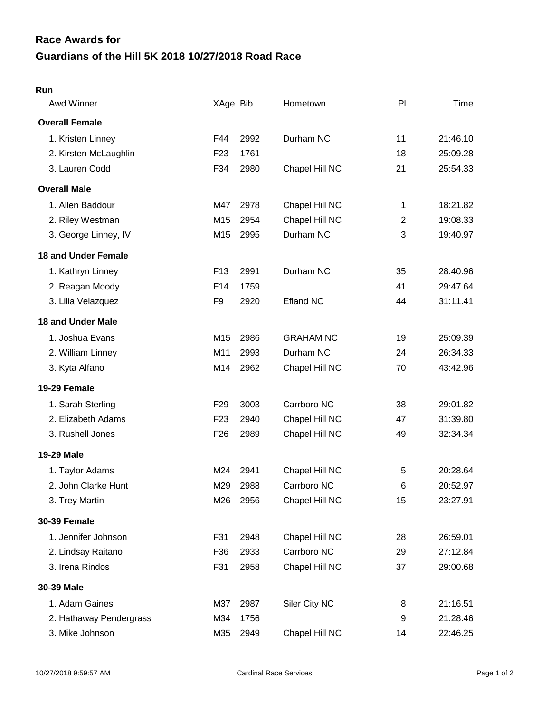## **Guardians of the Hill 5K 2018 10/27/2018 Road Race Race Awards for**

## **Run**

| Awd Winner                 | XAge Bib        |      | Hometown         | PI             | Time     |
|----------------------------|-----------------|------|------------------|----------------|----------|
| <b>Overall Female</b>      |                 |      |                  |                |          |
| 1. Kristen Linney          | F44             | 2992 | Durham NC        | 11             | 21:46.10 |
| 2. Kirsten McLaughlin      | F <sub>23</sub> | 1761 |                  | 18             | 25:09.28 |
| 3. Lauren Codd             | F34             | 2980 | Chapel Hill NC   | 21             | 25:54.33 |
| <b>Overall Male</b>        |                 |      |                  |                |          |
| 1. Allen Baddour           | M47             | 2978 | Chapel Hill NC   | 1              | 18:21.82 |
| 2. Riley Westman           | M15             | 2954 | Chapel Hill NC   | $\overline{2}$ | 19:08.33 |
| 3. George Linney, IV       | M15             | 2995 | Durham NC        | 3              | 19:40.97 |
| <b>18 and Under Female</b> |                 |      |                  |                |          |
| 1. Kathryn Linney          | F <sub>13</sub> | 2991 | Durham NC        | 35             | 28:40.96 |
| 2. Reagan Moody            | F14             | 1759 |                  | 41             | 29:47.64 |
| 3. Lilia Velazquez         | F9              | 2920 | <b>Efland NC</b> | 44             | 31:11.41 |
| <b>18 and Under Male</b>   |                 |      |                  |                |          |
| 1. Joshua Evans            | M15             | 2986 | <b>GRAHAM NC</b> | 19             | 25:09.39 |
| 2. William Linney          | M11             | 2993 | Durham NC        | 24             | 26:34.33 |
| 3. Kyta Alfano             | M14             | 2962 | Chapel Hill NC   | 70             | 43:42.96 |
| 19-29 Female               |                 |      |                  |                |          |
| 1. Sarah Sterling          | F <sub>29</sub> | 3003 | Carrboro NC      | 38             | 29:01.82 |
| 2. Elizabeth Adams         | F <sub>23</sub> | 2940 | Chapel Hill NC   | 47             | 31:39.80 |
| 3. Rushell Jones           | F <sub>26</sub> | 2989 | Chapel Hill NC   | 49             | 32:34.34 |
| 19-29 Male                 |                 |      |                  |                |          |
| 1. Taylor Adams            | M24             | 2941 | Chapel Hill NC   | 5              | 20:28.64 |
| 2. John Clarke Hunt        | M29             | 2988 | Carrboro NC      | 6              | 20:52.97 |
| 3. Trey Martin             | M26             | 2956 | Chapel Hill NC   | 15             | 23:27.91 |
| <b>30-39 Female</b>        |                 |      |                  |                |          |
| 1. Jennifer Johnson        | F31             | 2948 | Chapel Hill NC   | 28             | 26:59.01 |
| 2. Lindsay Raitano         | F36             | 2933 | Carrboro NC      | 29             | 27:12.84 |
| 3. Irena Rindos            | F31             | 2958 | Chapel Hill NC   | 37             | 29:00.68 |
| 30-39 Male                 |                 |      |                  |                |          |
| 1. Adam Gaines             | M37             | 2987 | Siler City NC    | 8              | 21:16.51 |
| 2. Hathaway Pendergrass    | M34             | 1756 |                  | 9              | 21:28.46 |
| 3. Mike Johnson            | M35             | 2949 | Chapel Hill NC   | 14             | 22:46.25 |